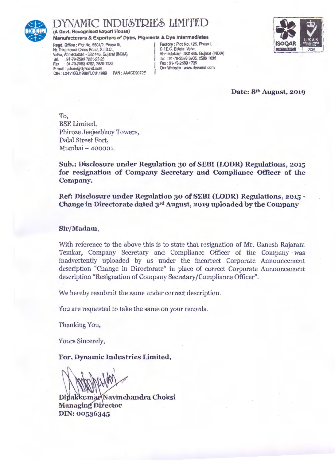

## NAMIC INDUSTRIES LIMITED

(A Govt. Recognised Export House)

Manufacturers & Exporters of Dyes, Pigments & Dye Intermediates<br>
Regd. Office: Plot No. 5501/2, Phase III,<br>
Nr. Trikampura Cross Road. G.I.D.C.

Read. Office: Plot No. 5501/2, Phase III, Nr. Trikampura Cross Road, G.I.D.C.,<br>Vatva, Ahmedahad 382 445 Gujarat (INDIA) Ahmedahad 382 445 Gujarat (INDIA) Vatva, Ahmedabad - 382 445. Gujarat (INDIA) <br>Tel. : 91-79-2589 7221-22-23 <br>Tel. : 91-79-2583 3835. 2589 1835 Tel. : 91-79-2589 7221-22-23 Tel. : 91-79-2583 3835, 25891835 Fax : 91-79-2583 4292, 2589 7232 Fax : 91-79-2589 1735 E-mail : admin@dynaind.com **Careford Community** Our Website : www.dynaind.com CIN: L24110GJ1989PLC011989 PAN : AAAC09872E



Date: 8th August, 2019

To, BSE Limited, Phiroze Jeejeebhoy Towers, Dalal Street Fort, Mumbai - 400001.

Sub.: Disclosure under Regulation 30 of SEBI (LODR) Regulations, 2015 for resignation of Company Secretary and Compliance Officer of the Company.

Ref: Disclosure under Regulation 30 of SEBI (LODR) Regulations, 2015 - Change in Directorate dated 3rd August, 2019 uploaded by the Company

### Sir/Madam,

With reference to the above this is to state that resignation of Mr. Ganesh Rajaram Temkar, Company Secretary and Compliance Officer of the Company was inadvertently uploaded by us under the incorrect Corporate Announcement description "Change in Directorate" in place of correct Corporate Announcement description "Resignation of Company Secretary/Compliance Officer".

We hereby resubmit the same under correct description.

You are requested to take the same on your records.

Thanking You,

Yours Sincerely,

For, Dynamic Industries Limited,

Dipakkumar Navinchandra Choksi **Managing Director** DIN: 00536345